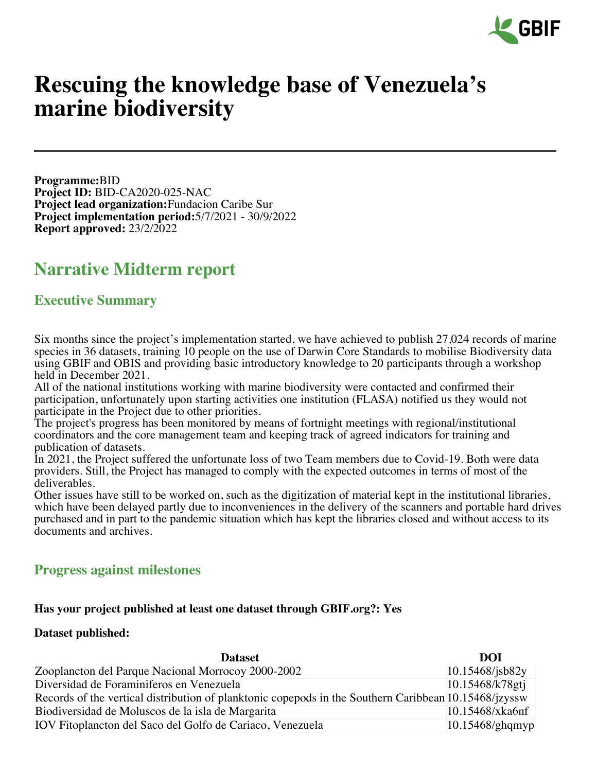

# **Rescuing the knowledge base of Venezuela's marine biodiversity**

**Programme:**BID **Project ID:** BID-CA2020-025-NAC **Project lead organization:**Fundacion Caribe Sur **Project implementation period:**5/7/2021 - 30/9/2022 **Report approved:** 23/2/2022

## **Narrative Midterm report**

### **Executive Summary**

Six months since the project's implementation started, we have achieved to publish 27,024 records of marine species in 36 datasets, training 10 people on the use of Darwin Core Standards to mobilise Biodiversity data using GBIF and OBIS and providing basic introductory knowledge to 20 participants through a workshop held in December 2021.

All of the national institutions working with marine biodiversity were contacted and confirmed their participation, unfortunately upon starting activities one institution (FLASA) notified us they would not participate in the Project due to other priorities.

The project's progress has been monitored by means of fortnight meetings with regional/institutional coordinators and the core management team and keeping track of agreed indicators for training and publication of datasets.

In 2021, the Project suffered the unfortunate loss of two Team members due to Covid-19. Both were data providers. Still, the Project has managed to comply with the expected outcomes in terms of most of the deliverables.

Other issues have still to be worked on, such as the digitization of material kept in the institutional libraries, which have been delayed partly due to inconveniences in the delivery of the scanners and portable hard drives purchased and in part to the pandemic situation which has kept the libraries closed and without access to its documents and archives.

### **Progress against milestones**

#### **Has your project published at least one dataset through GBIF.org?: Yes**

#### **Dataset published:**

| <b>Dataset</b>                                                                                        | DOI                   |
|-------------------------------------------------------------------------------------------------------|-----------------------|
| Zooplancton del Parque Nacional Morrocoy 2000-2002                                                    | $10.15468$ /jsb $82y$ |
| Diversidad de Foraminiferos en Venezuela                                                              | 10.15468/k78gtj       |
| Records of the vertical distribution of planktonic copepods in the Southern Caribbean 10.15468/jzyssw |                       |
| Biodiversidad de Moluscos de la isla de Margarita                                                     | 10.15468/xka6nf       |
| IOV Fitoplancton del Saco del Golfo de Cariaco, Venezuela                                             | $ 10.15468/g$ hqmyp   |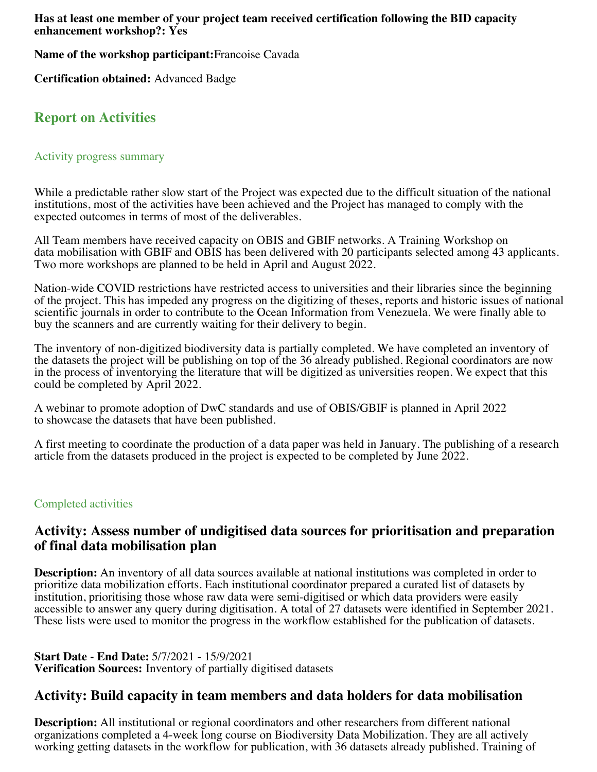**Has at least one member of your project team received certification following the BID capacity enhancement workshop?: Yes**

**Name of the workshop participant:**Francoise Cavada

**Certification obtained:** Advanced Badge

### **Report on Activities**

#### Activity progress summary

While a predictable rather slow start of the Project was expected due to the difficult situation of the national institutions, most of the activities have been achieved and the Project has managed to comply with the expected outcomes in terms of most of the deliverables.

All Team members have received capacity on OBIS and GBIF networks. A Training Workshop on data mobilisation with GBIF and OBIS has been delivered with 20 participants selected among 43 applicants. Two more workshops are planned to be held in April and August 2022.

Nation-wide COVID restrictions have restricted access to universities and their libraries since the beginning of the project. This has impeded any progress on the digitizing of theses, reports and historic issues of national scientific journals in order to contribute to the Ocean Information from Venezuela. We were finally able to buy the scanners and are currently waiting for their delivery to begin.

The inventory of non-digitized biodiversity data is partially completed. We have completed an inventory of the datasets the project will be publishing on top of the 36 already published. Regional coordinators are now in the process of inventorying the literature that will be digitized as universities reopen. We expect that this could be completed by April 2022.

A webinar to promote adoption of DwC standards and use of OBIS/GBIF is planned in April 2022 to showcase the datasets that have been published.

A first meeting to coordinate the production of a data paper was held in January. The publishing of a research article from the datasets produced in the project is expected to be completed by June 2022.

#### Completed activities

### **Activity: Assess number of undigitised data sources for prioritisation and preparation of final data mobilisation plan**

**Description:** An inventory of all data sources available at national institutions was completed in order to prioritize data mobilization efforts. Each institutional coordinator prepared a curated list of datasets by institution, prioritising those whose raw data were semi-digitised or which data providers were easily accessible to answer any query during digitisation. A total of 27 datasets were identified in September 2021. These lists were used to monitor the progress in the workflow established for the publication of datasets.

#### **Start Date - End Date:** 5/7/2021 - 15/9/2021 **Verification Sources:** Inventory of partially digitised datasets

### **Activity: Build capacity in team members and data holders for data mobilisation**

**Description:** All institutional or regional coordinators and other researchers from different national organizations completed a 4-week long course on Biodiversity Data Mobilization. They are all actively working getting datasets in the workflow for publication, with 36 datasets already published. Training of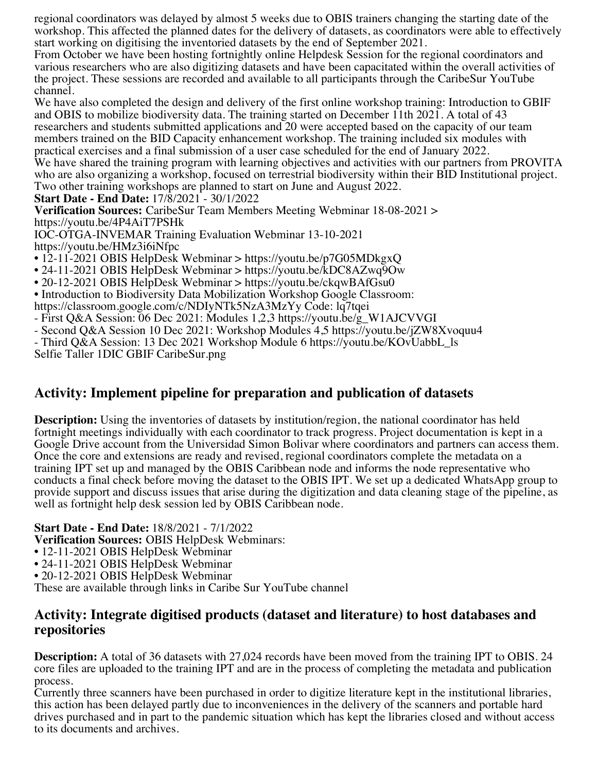regional coordinators was delayed by almost 5 weeks due to OBIS trainers changing the starting date of the workshop. This affected the planned dates for the delivery of datasets, as coordinators were able to effectively start working on digitising the inventoried datasets by the end of September 2021.

From October we have been hosting fortnightly online Helpdesk Session for the regional coordinators and various researchers who are also digitizing datasets and have been capacitated within the overall activities of the project. These sessions are recorded and available to all participants through the CaribeSur YouTube channel.

We have also completed the design and delivery of the first online workshop training: Introduction to GBIF and OBIS to mobilize biodiversity data. The training started on December 11th 2021. A total of 43 researchers and students submitted applications and 20 were accepted based on the capacity of our team members trained on the BID Capacity enhancement workshop. The training included six modules with practical exercises and a final submission of a user case scheduled for the end of January 2022. We have shared the training program with learning objectives and activities with our partners from PROVITA who are also organizing a workshop, focused on terrestrial biodiversity within their BID Institutional project. Two other training workshops are planned to start on June and August 2022.

#### **Start Date - End Date:** 17/8/2021 - 30/1/2022

**Verification Sources:** CaribeSur Team Members Meeting Webminar 18-08-2021 > https://youtu.be/4P4AiT7PSHk

IOC-OTGA-INVEMAR Training Evaluation Webminar 13-10-2021 https://youtu.be/HMz3i6iNfpc

- 12-11-2021 OBIS HelpDesk Webminar > https://youtu.be/p7G05MDkgxQ
- 24-11-2021 OBIS HelpDesk Webminar > https://youtu.be/kDC8AZwq9Ow
- 20-12-2021 OBIS HelpDesk Webminar > https://youtu.be/ckqwBAfGsu0
- Introduction to Biodiversity Data Mobilization Workshop Google Classroom:
- https://classroom.google.com/c/NDIyNTk5NzA3MzYy Code: lq7tqei
- First Q&A Session: 06 Dec 2021: Modules 1,2,3 https://youtu.be/g\_W1AJCVVGI
- Second Q&A Session 10 Dec 2021: Workshop Modules 4,5 https://youtu.be/jZW8Xvoquu4
- Third Q&A Session: 13 Dec 2021 Workshop Module 6 https://youtu.be/KOvUabbL\_ls

Selfie Taller 1DIC GBIF CaribeSur.png

### **Activity: Implement pipeline for preparation and publication of datasets**

**Description:** Using the inventories of datasets by institution/region, the national coordinator has held fortnight meetings individually with each coordinator to track progress. Project documentation is kept in a Google Drive account from the Universidad Simon Bolivar where coordinators and partners can access them. Once the core and extensions are ready and revised, regional coordinators complete the metadata on a training IPT set up and managed by the OBIS Caribbean node and informs the node representative who conducts a final check before moving the dataset to the OBIS IPT. We set up a dedicated WhatsApp group to provide support and discuss issues that arise during the digitization and data cleaning stage of the pipeline, as well as fortnight help desk session led by OBIS Caribbean node.

#### **Start Date - End Date:** 18/8/2021 - 7/1/2022

**Verification Sources:** OBIS HelpDesk Webminars:

- 12-11-2021 OBIS HelpDesk Webminar
- 24-11-2021 OBIS HelpDesk Webminar
- 20-12-2021 OBIS HelpDesk Webminar

These are available through links in Caribe Sur YouTube channel

### **Activity: Integrate digitised products (dataset and literature) to host databases and repositories**

**Description:** A total of 36 datasets with 27,024 records have been moved from the training IPT to OBIS. 24 core files are uploaded to the training IPT and are in the process of completing the metadata and publication process.

Currently three scanners have been purchased in order to digitize literature kept in the institutional libraries, this action has been delayed partly due to inconveniences in the delivery of the scanners and portable hard drives purchased and in part to the pandemic situation which has kept the libraries closed and without access to its documents and archives.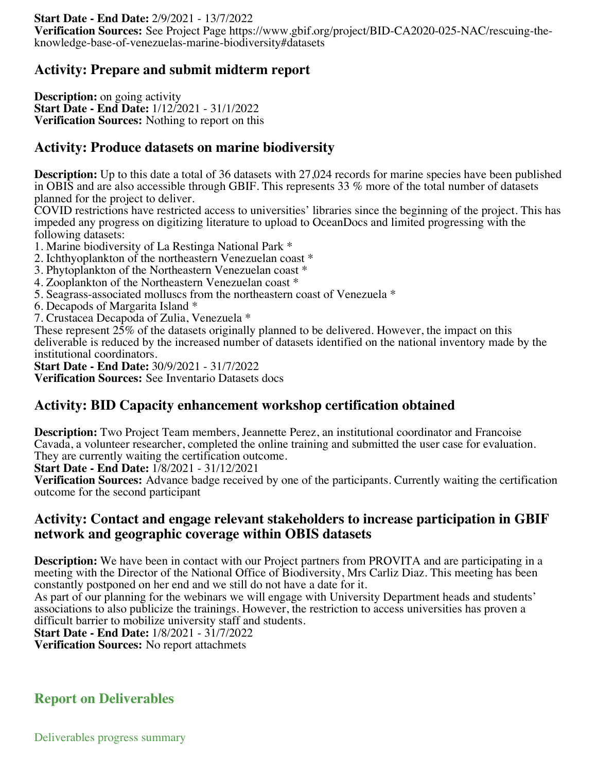**Verification Sources:** See Project Page https://www.gbif.org/project/BID-CA2020-025-NAC/rescuing-theknowledge-base-of-venezuelas-marine-biodiversity#datasets

### **Activity: Prepare and submit midterm report**

**Description:** on going activity **Start Date - End Date:** 1/12/2021 - 31/1/2022 **Verification Sources:** Nothing to report on this

### **Activity: Produce datasets on marine biodiversity**

**Description:** Up to this date a total of 36 datasets with 27,024 records for marine species have been published in OBIS and are also accessible through GBIF. This represents 33 % more of the total number of datasets planned for the project to deliver.

COVID restrictions have restricted access to universities' libraries since the beginning of the project. This has impeded any progress on digitizing literature to upload to OceanDocs and limited progressing with the following datasets:

1. Marine biodiversity of La Restinga National Park \*

- 2. Ichthyoplankton of the northeastern Venezuelan coast \*
- 3. Phytoplankton of the Northeastern Venezuelan coast \*
- 4. Zooplankton of the Northeastern Venezuelan coast \*
- 5. Seagrass-associated molluscs from the northeastern coast of Venezuela \*
- 6. Decapods of Margarita Island \*
- 7. Crustacea Decapoda of Zulia, Venezuela \*

These represent 25% of the datasets originally planned to be delivered. However, the impact on this deliverable is reduced by the increased number of datasets identified on the national inventory made by the institutional coordinators.

**Start Date - End Date:** 30/9/2021 - 31/7/2022

**Verification Sources:** See Inventario Datasets docs

### **Activity: BID Capacity enhancement workshop certification obtained**

**Description:** Two Project Team members, Jeannette Perez, an institutional coordinator and Francoise Cavada, a volunteer researcher, completed the online training and submitted the user case for evaluation. They are currently waiting the certification outcome.

**Start Date - End Date:** 1/8/2021 - 31/12/2021

**Verification Sources:** Advance badge received by one of the participants. Currently waiting the certification outcome for the second participant

### **Activity: Contact and engage relevant stakeholders to increase participation in GBIF network and geographic coverage within OBIS datasets**

**Description:** We have been in contact with our Project partners from PROVITA and are participating in a meeting with the Director of the National Office of Biodiversity, Mrs Carliz Diaz. This meeting has been constantly postponed on her end and we still do not have a date for it.

As part of our planning for the webinars we will engage with University Department heads and students' associations to also publicize the trainings. However, the restriction to access universities has proven a difficult barrier to mobilize university staff and students.

**Start Date - End Date:** 1/8/2021 - 31/7/2022

**Verification Sources:** No report attachmets

### **Report on Deliverables**

Deliverables progress summary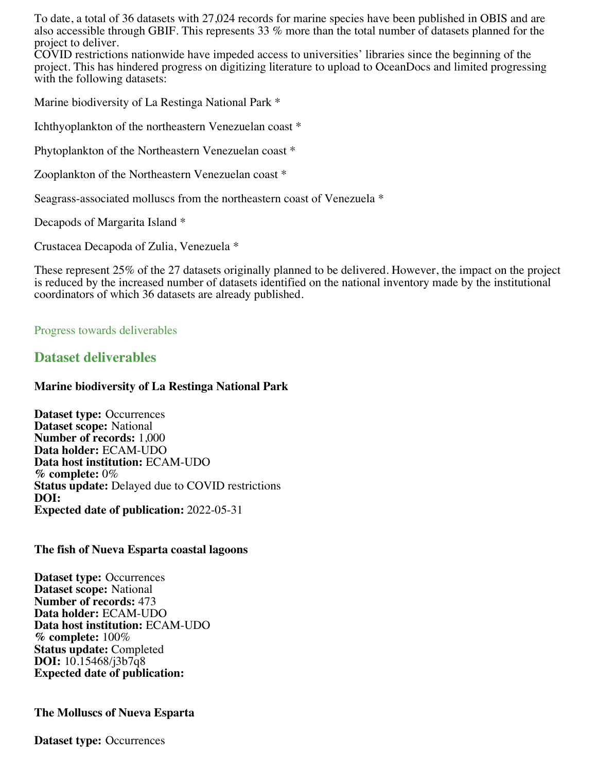To date, a total of 36 datasets with 27,024 records for marine species have been published in OBIS and are also accessible through GBIF. This represents 33 % more than the total number of datasets planned for the project to deliver.

COVID restrictions nationwide have impeded access to universities' libraries since the beginning of the project. This has hindered progress on digitizing literature to upload to OceanDocs and limited progressing with the following datasets:

Marine biodiversity of La Restinga National Park \*

Ichthyoplankton of the northeastern Venezuelan coast \*

Phytoplankton of the Northeastern Venezuelan coast \*

Zooplankton of the Northeastern Venezuelan coast \*

Seagrass-associated molluscs from the northeastern coast of Venezuela \*

Decapods of Margarita Island \*

Crustacea Decapoda of Zulia, Venezuela \*

These represent 25% of the 27 datasets originally planned to be delivered. However, the impact on the project is reduced by the increased number of datasets identified on the national inventory made by the institutional coordinators of which 36 datasets are already published.

#### Progress towards deliverables

#### **Dataset deliverables**

#### **Marine biodiversity of La Restinga National Park**

**Dataset type:** Occurrences **Dataset scope:** National **Number of records:** 1,000 **Data holder:** ECAM-UDO **Data host institution:** ECAM-UDO **% complete:** 0% **Status update:** Delayed due to COVID restrictions **DOI: Expected date of publication:** 2022-05-31

#### **The fish of Nueva Esparta coastal lagoons**

**Dataset type:** Occurrences **Dataset scope:** National **Number of records:** 473 **Data holder:** ECAM-UDO **Data host institution:** ECAM-UDO **% complete:** 100% **Status update:** Completed **DOI:** 10.15468/j3b7q8 **Expected date of publication:**

#### **The Molluscs of Nueva Esparta**

**Dataset type:** Occurrences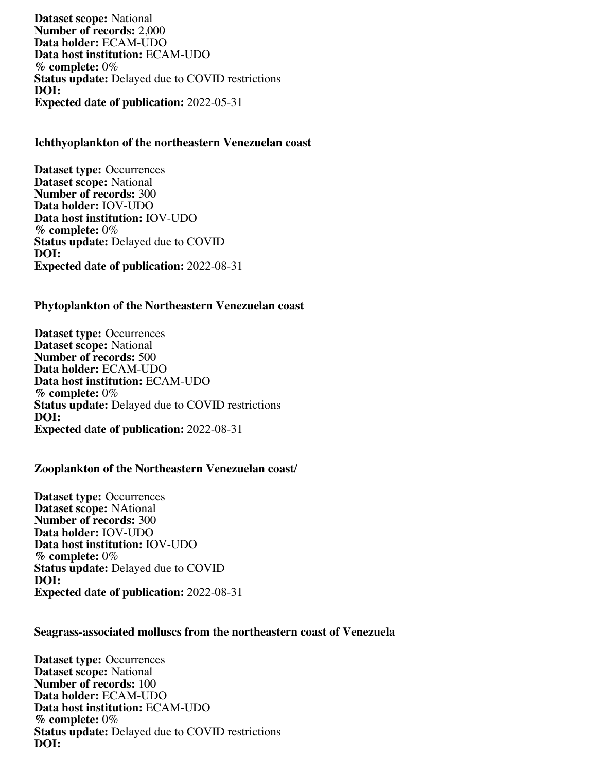**Dataset scope:** National **Number of records:** 2,000 **Data holder:** ECAM-UDO **Data host institution:** ECAM-UDO **% complete:** 0% **Status update:** Delayed due to COVID restrictions **DOI: Expected date of publication:** 2022-05-31

#### **Ichthyoplankton of the northeastern Venezuelan coast**

**Dataset type:** Occurrences **Dataset scope:** National **Number of records:** 300 **Data holder:** IOV-UDO **Data host institution:** IOV-UDO **% complete:** 0% **Status update:** Delayed due to COVID **DOI: Expected date of publication:** 2022-08-31

#### **Phytoplankton of the Northeastern Venezuelan coast**

**Dataset type:** Occurrences **Dataset scope:** National **Number of records:** 500 **Data holder:** ECAM-UDO **Data host institution:** ECAM-UDO **% complete:** 0% **Status update:** Delayed due to COVID restrictions **DOI: Expected date of publication:** 2022-08-31

#### **Zooplankton of the Northeastern Venezuelan coast/**

**Dataset type:** Occurrences **Dataset scope:** NAtional **Number of records:** 300 **Data holder:** IOV-UDO **Data host institution:** IOV-UDO **% complete:** 0% **Status update:** Delayed due to COVID **DOI: Expected date of publication:** 2022-08-31

#### **Seagrass-associated molluscs from the northeastern coast of Venezuela**

**Dataset type:** Occurrences **Dataset scope:** National **Number of records:** 100 **Data holder:** ECAM-UDO **Data host institution:** ECAM-UDO **% complete:** 0% **Status update:** Delayed due to COVID restrictions **DOI:**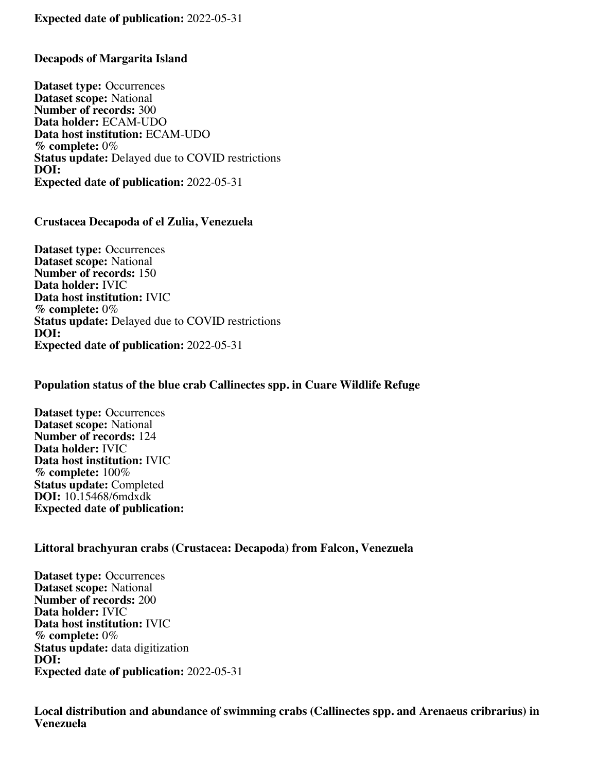#### **Expected date of publication:** 2022-05-31

#### **Decapods of Margarita Island**

**Dataset type:** Occurrences **Dataset scope:** National **Number of records:** 300 **Data holder:** ECAM-UDO **Data host institution:** ECAM-UDO **% complete:** 0% **Status update:** Delayed due to COVID restrictions **DOI: Expected date of publication:** 2022-05-31

#### **Crustacea Decapoda of el Zulia, Venezuela**

**Dataset type:** Occurrences **Dataset scope:** National **Number of records:** 150 **Data holder:** IVIC **Data host institution:** IVIC **% complete:** 0% **Status update:** Delayed due to COVID restrictions **DOI: Expected date of publication:** 2022-05-31

#### **Population status of the blue crab Callinectes spp. in Cuare Wildlife Refuge**

**Dataset type:** Occurrences **Dataset scope:** National **Number of records:** 124 **Data holder:** IVIC **Data host institution:** IVIC **% complete:** 100% **Status update:** Completed **DOI:** 10.15468/6mdxdk **Expected date of publication:**

#### **Littoral brachyuran crabs (Crustacea: Decapoda) from Falcon, Venezuela**

**Dataset type:** Occurrences **Dataset scope:** National **Number of records:** 200 **Data holder:** IVIC **Data host institution:** IVIC **% complete:** 0% **Status update:** data digitization **DOI: Expected date of publication:** 2022-05-31

**Local distribution and abundance of swimming crabs (Callinectes spp. and Arenaeus cribrarius) in Venezuela**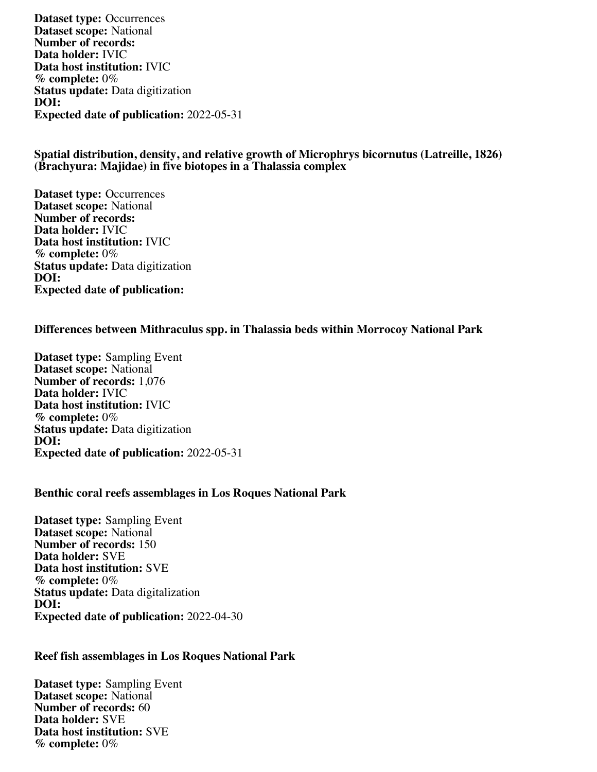**Dataset type:** Occurrences **Dataset scope:** National **Number of records: Data holder:** IVIC **Data host institution:** IVIC **% complete:** 0% **Status update:** Data digitization **DOI: Expected date of publication:** 2022-05-31

#### **Spatial distribution, density, and relative growth of Microphrys bicornutus (Latreille, 1826) (Brachyura: Majidae) in five biotopes in a Thalassia complex**

**Dataset type:** Occurrences **Dataset scope:** National **Number of records: Data holder:** IVIC **Data host institution:** IVIC **% complete:** 0% **Status update:** Data digitization **DOI: Expected date of publication:**

#### **Differences between Mithraculus spp. in Thalassia beds within Morrocoy National Park**

**Dataset type:** Sampling Event **Dataset scope:** National **Number of records:** 1,076 **Data holder:** IVIC **Data host institution:** IVIC **% complete:** 0% **Status update:** Data digitization **DOI: Expected date of publication:** 2022-05-31

#### **Benthic coral reefs assemblages in Los Roques National Park**

**Dataset type:** Sampling Event **Dataset scope:** National **Number of records:** 150 **Data holder:** SVE **Data host institution:** SVE **% complete:** 0% **Status update:** Data digitalization **DOI: Expected date of publication:** 2022-04-30

#### **Reef fish assemblages in Los Roques National Park**

**Dataset type:** Sampling Event **Dataset scope:** National **Number of records:** 60 **Data holder:** SVE **Data host institution:** SVE **% complete:** 0%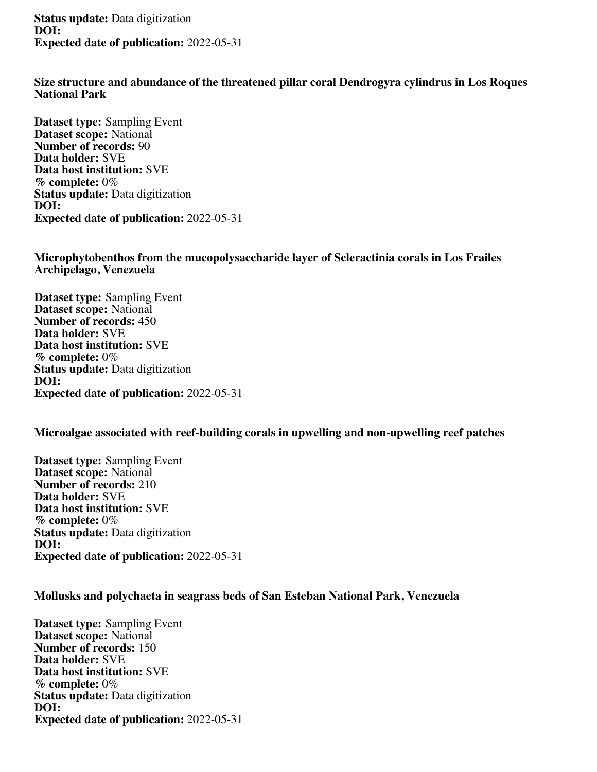**Status update:** Data digitization **DOI: Expected date of publication:** 2022-05-31

**Size structure and abundance of the threatened pillar coral Dendrogyra cylindrus in Los Roques National Park**

**Dataset type:** Sampling Event **Dataset scope:** National **Number of records:** 90 **Data holder:** SVE **Data host institution:** SVE **% complete:** 0% **Status update:** Data digitization **DOI: Expected date of publication:** 2022-05-31

**Microphytobenthos from the mucopolysaccharide layer of Scleractinia corals in Los Frailes Archipelago, Venezuela**

**Dataset type:** Sampling Event **Dataset scope:** National **Number of records:** 450 **Data holder:** SVE **Data host institution:** SVE **% complete:** 0% **Status update:** Data digitization **DOI: Expected date of publication:** 2022-05-31

**Microalgae associated with reef-building corals in upwelling and non-upwelling reef patches**

**Dataset type:** Sampling Event **Dataset scope:** National **Number of records:** 210 **Data holder:** SVE **Data host institution:** SVE **% complete:** 0% **Status update:** Data digitization **DOI: Expected date of publication:** 2022-05-31

**Mollusks and polychaeta in seagrass beds of San Esteban National Park, Venezuela**

**Dataset type:** Sampling Event **Dataset scope:** National **Number of records:** 150 **Data holder:** SVE **Data host institution:** SVE **% complete:** 0% **Status update:** Data digitization **DOI: Expected date of publication:** 2022-05-31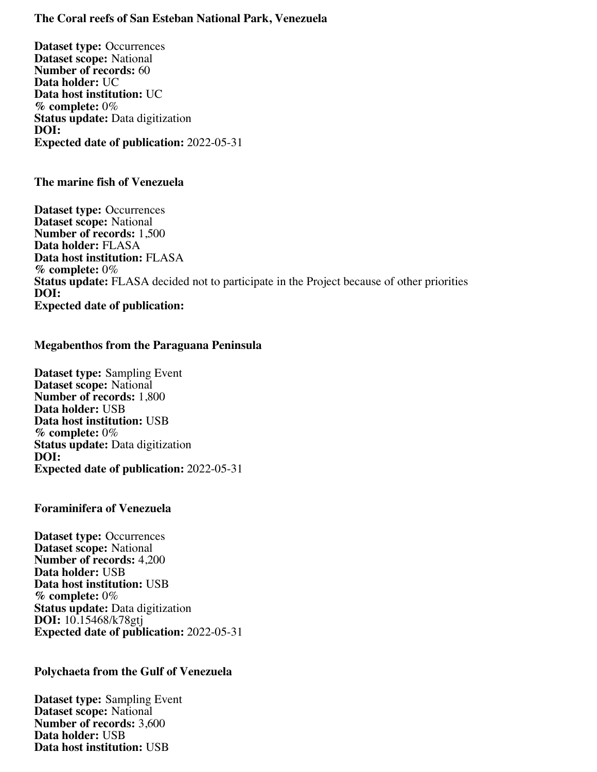#### **The Coral reefs of San Esteban National Park, Venezuela**

**Dataset type:** Occurrences **Dataset scope:** National **Number of records:** 60 **Data holder:** UC **Data host institution:** UC **% complete:** 0% **Status update:** Data digitization **DOI: Expected date of publication:** 2022-05-31

#### **The marine fish of Venezuela**

**Dataset type:** Occurrences **Dataset scope:** National **Number of records:** 1,500 **Data holder:** FLASA **Data host institution:** FLASA **% complete:** 0% **Status update:** FLASA decided not to participate in the Project because of other priorities **DOI: Expected date of publication:**

#### **Megabenthos from the Paraguana Peninsula**

**Dataset type:** Sampling Event **Dataset scope:** National **Number of records:** 1,800 **Data holder:** USB **Data host institution:** USB **% complete:** 0% **Status update:** Data digitization **DOI: Expected date of publication:** 2022-05-31

#### **Foraminifera of Venezuela**

**Dataset type:** Occurrences **Dataset scope:** National **Number of records:** 4,200 **Data holder:** USB **Data host institution:** USB **% complete:** 0% **Status update:** Data digitization **DOI:** 10.15468/k78gtj **Expected date of publication:** 2022-05-31

#### **Polychaeta from the Gulf of Venezuela**

**Dataset type:** Sampling Event **Dataset scope:** National **Number of records:** 3,600 **Data holder:** USB **Data host institution:** USB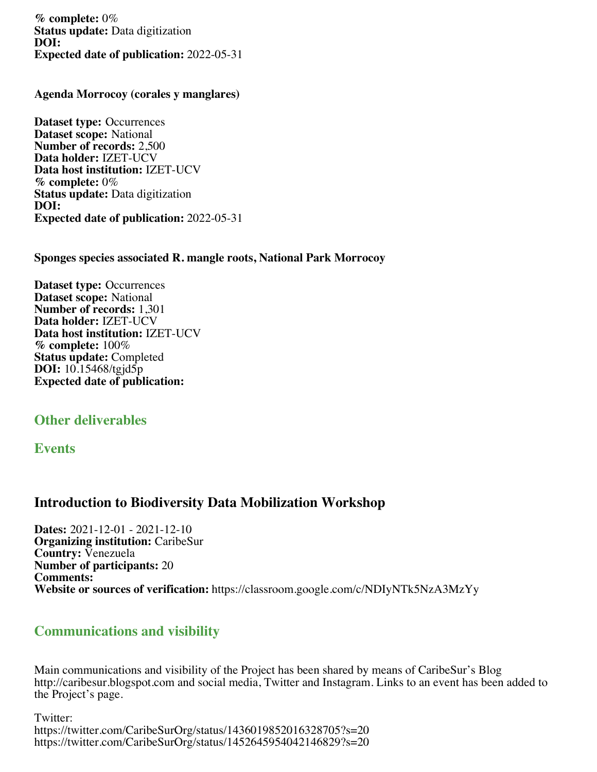**% complete:** 0% **Status update:** Data digitization **DOI: Expected date of publication:** 2022-05-31

**Agenda Morrocoy (corales y manglares)**

**Dataset type:** Occurrences **Dataset scope:** National **Number of records:** 2,500 **Data holder:** IZET-UCV **Data host institution:** IZET-UCV **% complete:** 0% **Status update:** Data digitization **DOI: Expected date of publication:** 2022-05-31

**Sponges species associated R. mangle roots, National Park Morrocoy**

**Dataset type:** Occurrences **Dataset scope:** National **Number of records:** 1,301 **Data holder:** IZET-UCV **Data host institution:** IZET-UCV **% complete:** 100% **Status update:** Completed **DOI:** 10.15468/tgjd5p **Expected date of publication:**

### **Other deliverables**

#### **Events**

### **Introduction to Biodiversity Data Mobilization Workshop**

**Dates:** 2021-12-01 - 2021-12-10 **Organizing institution:** CaribeSur **Country:** Venezuela **Number of participants:** 20 **Comments: Website or sources of verification:** https://classroom.google.com/c/NDIyNTk5NzA3MzYy

### **Communications and visibility**

Main communications and visibility of the Project has been shared by means of CaribeSur's Blog http://caribesur.blogspot.com and social media, Twitter and Instagram. Links to an event has been added to the Project's page.

Twitter: https://twitter.com/CaribeSurOrg/status/1436019852016328705?s=20 https://twitter.com/CaribeSurOrg/status/1452645954042146829?s=20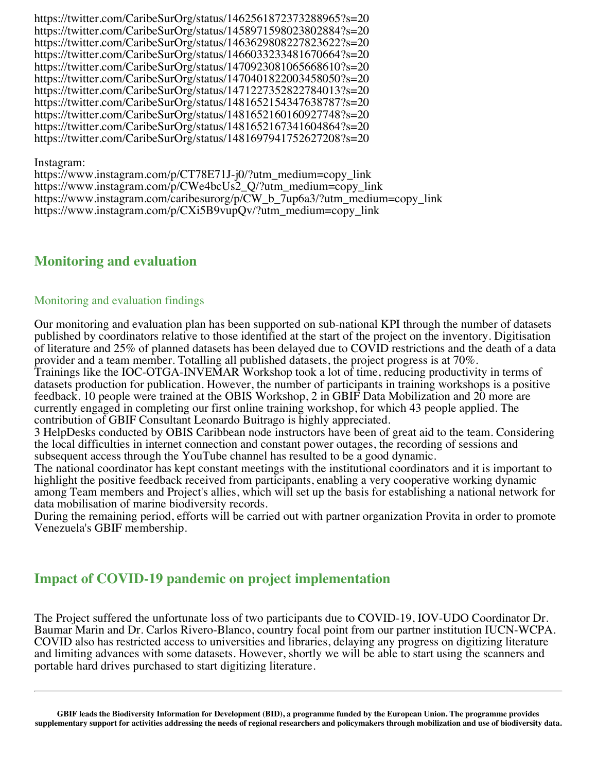https://twitter.com/CaribeSurOrg/status/1462561872373288965?s=20 https://twitter.com/CaribeSurOrg/status/1458971598023802884?s=20 https://twitter.com/CaribeSurOrg/status/1463629808227823622?s=20 https://twitter.com/CaribeSurOrg/status/1466033233481670664?s=20 https://twitter.com/CaribeSurOrg/status/1470923081065668610?s=20 https://twitter.com/CaribeSurOrg/status/1470401822003458050?s=20 https://twitter.com/CaribeSurOrg/status/1471227352822784013?s=20 https://twitter.com/CaribeSurOrg/status/1481652154347638787?s=20 https://twitter.com/CaribeSurOrg/status/1481652160160927748?s=20 https://twitter.com/CaribeSurOrg/status/1481652167341604864?s=20 https://twitter.com/CaribeSurOrg/status/1481697941752627208?s=20

#### Instagram:

https://www.instagram.com/p/CT78E71J-j0/?utm\_medium=copy\_link https://www.instagram.com/p/CWe4bcUs2\_Q/?utm\_medium=copy\_link https://www.instagram.com/caribesurorg/p/CW\_b\_7up6a3/?utm\_medium=copy\_link https://www.instagram.com/p/CXi5B9vupQv/?utm\_medium=copy\_link

### **Monitoring and evaluation**

#### Monitoring and evaluation findings

Our monitoring and evaluation plan has been supported on sub-national KPI through the number of datasets published by coordinators relative to those identified at the start of the project on the inventory. Digitisation of literature and 25% of planned datasets has been delayed due to COVID restrictions and the death of a data provider and a team member. Totalling all published datasets, the project progress is at 70%.

Trainings like the IOC-OTGA-INVEMAR Workshop took a lot of time, reducing productivity in terms of datasets production for publication. However, the number of participants in training workshops is a positive feedback. 10 people were trained at the OBIS Workshop, 2 in GBIF Data Mobilization and 20 more are currently engaged in completing our first online training workshop, for which 43 people applied. The contribution of GBIF Consultant Leonardo Buitrago is highly appreciated.

3 HelpDesks conducted by OBIS Caribbean node instructors have been of great aid to the team. Considering the local difficulties in internet connection and constant power outages, the recording of sessions and subsequent access through the YouTube channel has resulted to be a good dynamic.

The national coordinator has kept constant meetings with the institutional coordinators and it is important to highlight the positive feedback received from participants, enabling a very cooperative working dynamic among Team members and Project's allies, which will set up the basis for establishing a national network for data mobilisation of marine biodiversity records.

During the remaining period, efforts will be carried out with partner organization Provita in order to promote Venezuela's GBIF membership.

### **Impact of COVID-19 pandemic on project implementation**

The Project suffered the unfortunate loss of two participants due to COVID-19, IOV-UDO Coordinator Dr. Baumar Marin and Dr. Carlos Rivero-Blanco, country focal point from our partner institution IUCN-WCPA. COVID also has restricted access to universities and libraries, delaying any progress on digitizing literature and limiting advances with some datasets. However, shortly we will be able to start using the scanners and portable hard drives purchased to start digitizing literature.